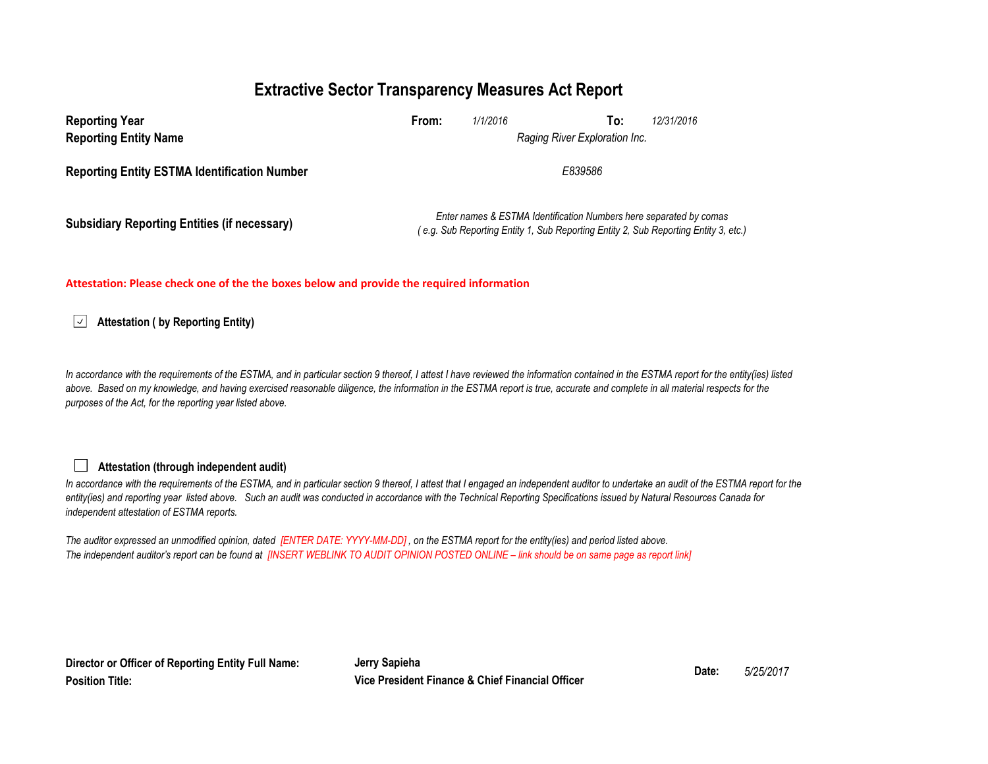# **Extractive Sector Transparency Measures Act Report**

| <b>Reporting Year</b><br><b>Reporting Entity Name</b> | From:                                                                                                                                                     | 1/1/2016 | To:<br>Raging River Exploration Inc. | 12/31/2016 |  |
|-------------------------------------------------------|-----------------------------------------------------------------------------------------------------------------------------------------------------------|----------|--------------------------------------|------------|--|
| <b>Reporting Entity ESTMA Identification Number</b>   | E839586                                                                                                                                                   |          |                                      |            |  |
| <b>Subsidiary Reporting Entities (if necessary)</b>   | Enter names & ESTMA Identification Numbers here separated by comas<br>(e.g. Sub Reporting Entity 1, Sub Reporting Entity 2, Sub Reporting Entity 3, etc.) |          |                                      |            |  |

#### **Attestation: Please check one of the the boxes below and provide the required information**

 $\vert \checkmark \vert$ **Attestation ( by Reporting Entity)**

In accordance with the requirements of the ESTMA, and in particular section 9 thereof, I attest I have reviewed the information contained in the ESTMA report for the entity(ies) listed above. Based on my knowledge, and having exercised reasonable diligence, the information in the ESTMA report is true, accurate and complete in all material respects for the *purposes of the Act, for the reporting year listed above.* 

### **Attestation (through independent audit)**

In accordance with the requirements of the ESTMA, and in particular section 9 thereof, I attest that I engaged an independent auditor to undertake an audit of the ESTMA report for the entity(ies) and reporting year listed above. Such an audit was conducted in accordance with the Technical Reporting Specifications issued by Natural Resources Canada for *independent attestation of ESTMA reports.* 

*The auditor expressed an unmodified opinion, dated [ENTER DATE: YYYY-MM-DD] , on the ESTMA report for the entity(ies) and period listed above. The independent auditor's report can be found at [INSERT WEBLINK TO AUDIT OPINION POSTED ONLINE – link should be on same page as report link]*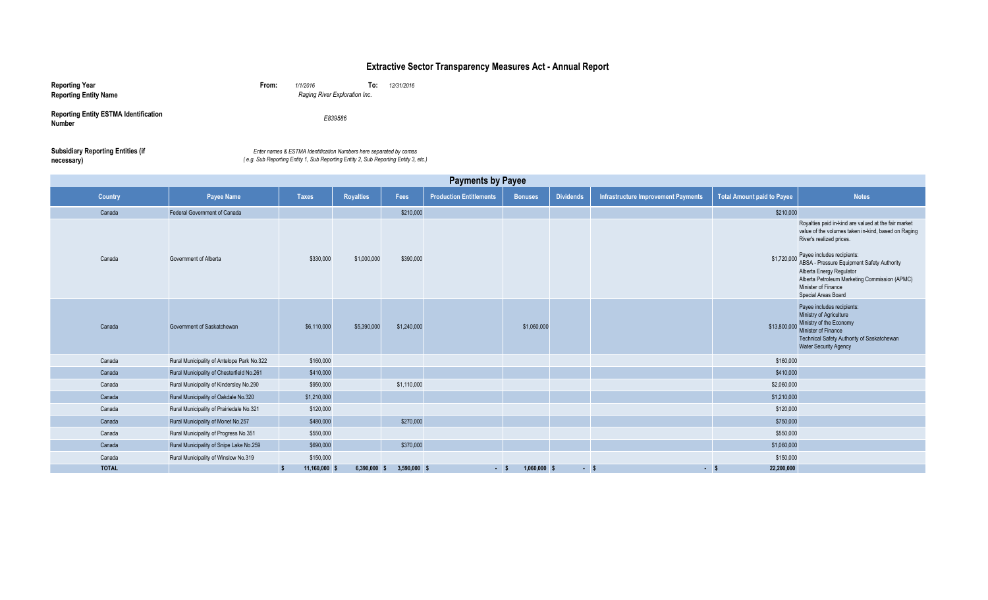### **Extractive Sector Transparency Measures Act - Annual Report**

| <b>Reporting Year</b><br><b>Reporting Entity Name</b>         | From: | 1/1/2016<br>Raging River Exploration Inc.                                                                                                                 | To: | 12/31/2016 |
|---------------------------------------------------------------|-------|-----------------------------------------------------------------------------------------------------------------------------------------------------------|-----|------------|
| <b>Reporting Entity ESTMA Identification</b><br><b>Number</b> |       | E839586                                                                                                                                                   |     |            |
| <b>Subsidiary Reporting Entities (if</b><br>necessary)        |       | Enter names & ESTMA Identification Numbers here separated by comas<br>(e.g. Sub Reporting Entity 1, Sub Reporting Entity 2, Sub Reporting Entity 3, etc.) |     |            |

| <b>Payments by Payee</b> |                                            |                    |                  |                |                                |                |                  |                                     |                                   |                                                                                                                                                                                                                                                                                                                                                |
|--------------------------|--------------------------------------------|--------------------|------------------|----------------|--------------------------------|----------------|------------------|-------------------------------------|-----------------------------------|------------------------------------------------------------------------------------------------------------------------------------------------------------------------------------------------------------------------------------------------------------------------------------------------------------------------------------------------|
| Country                  | <b>Payee Name</b>                          | <b>Taxes</b>       | <b>Royalties</b> | Fees           | <b>Production Entitlements</b> | <b>Bonuses</b> | <b>Dividends</b> | Infrastructure Improvement Payments | <b>Total Amount paid to Payee</b> | <b>Notes</b>                                                                                                                                                                                                                                                                                                                                   |
| Canada                   | Federal Government of Canada               |                    |                  | \$210,000      |                                |                |                  |                                     | \$210,000                         |                                                                                                                                                                                                                                                                                                                                                |
| Canada                   | Government of Alberta                      | \$330,000          | \$1,000,000      | \$390,000      |                                |                |                  |                                     | \$1,720,000                       | Royalties paid in-kind are valued at the fair market<br>value of the volumes taken in-kind, based on Raging<br>River's realized prices.<br>Payee includes recipients:<br>ABSA - Pressure Equipment Safety Authority<br>Alberta Energy Regulator<br>Alberta Petroleum Marketing Commission (APMC)<br>Minister of Finance<br>Special Areas Board |
| Canada                   | Government of Saskatchewan                 | \$6,110,000        | \$5,390,000      | \$1,240,000    |                                | \$1,060,000    |                  |                                     | \$13,800,000                      | Payee includes recipients:<br>Ministry of Agriculture<br>Ministry of the Economy<br>Minister of Finance<br>Technical Safety Authority of Saskatchewan<br><b>Water Security Agency</b>                                                                                                                                                          |
| Canada                   | Rural Municipality of Antelope Park No.322 | \$160,000          |                  |                |                                |                |                  |                                     | \$160,000                         |                                                                                                                                                                                                                                                                                                                                                |
| Canada                   | Rural Municipality of Chesterfield No.261  | \$410,000          |                  |                |                                |                |                  |                                     | \$410,000                         |                                                                                                                                                                                                                                                                                                                                                |
| Canada                   | Rural Municipality of Kindersley No.290    | \$950,000          |                  | \$1,110,000    |                                |                |                  |                                     | \$2,060,000                       |                                                                                                                                                                                                                                                                                                                                                |
| Canada                   | Rural Municipality of Oakdale No.320       | \$1,210,000        |                  |                |                                |                |                  |                                     | \$1,210,000                       |                                                                                                                                                                                                                                                                                                                                                |
| Canada                   | Rural Municipality of Prairiedale No.321   | \$120,000          |                  |                |                                |                |                  |                                     | \$120,000                         |                                                                                                                                                                                                                                                                                                                                                |
| Canada                   | Rural Municipality of Monet No.257         | \$480,000          |                  | \$270,000      |                                |                |                  |                                     | \$750,000                         |                                                                                                                                                                                                                                                                                                                                                |
| Canada                   | Rural Municipality of Progress No.351      | \$550,000          |                  |                |                                |                |                  |                                     | \$550,000                         |                                                                                                                                                                                                                                                                                                                                                |
| Canada                   | Rural Municipality of Snipe Lake No.259    | \$690,000          |                  | \$370,000      |                                |                |                  |                                     | \$1,060,000                       |                                                                                                                                                                                                                                                                                                                                                |
| Canada                   | Rural Municipality of Winslow No.319       | \$150,000          |                  |                |                                |                |                  |                                     | \$150,000                         |                                                                                                                                                                                                                                                                                                                                                |
| <b>TOTAL</b>             |                                            | 11,160,000 \$<br>s | $6,390,000$ \$   | $3,590,000$ \$ | $-5$                           | $1,060,000$ \$ | $-5$             | $-5$                                | 22,200,000                        |                                                                                                                                                                                                                                                                                                                                                |